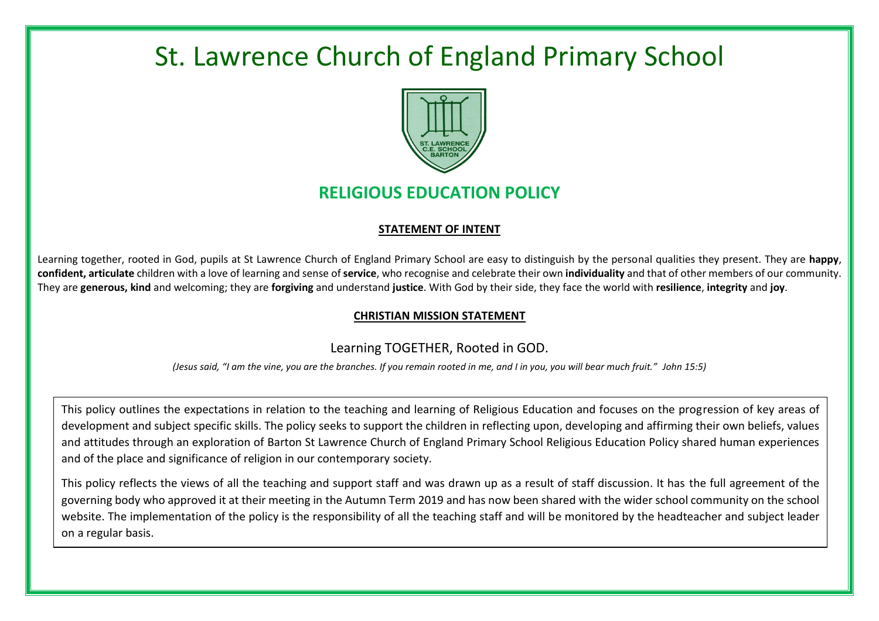# St. Lawrence Church of England Primary School



# **RELIGIOUS EDUCATION POLICY**

#### **STATEMENT OF INTENT**

Learning together, rooted in God, pupils at St Lawrence Church of England Primary School are easy to distinguish by the personal qualities they present. They are **happy**, **confident, articulate** children with a love of learning and sense of **service**, who recognise and celebrate their own **individuality** and that of other members of our community. They are **generous, kind** and welcoming; they are **forgiving** and understand **justice**. With God by their side, they face the world with **resilience**, **integrity** and **joy**.

### **CHRISTIAN MISSION STATEMENT**

## Learning TOGETHER, Rooted in GOD.

*(Jesus said, "I am the vine, you are the branches. If you remain rooted in me, and I in you, you will bear much fruit." John 15:5)*

This policy outlines the expectations in relation to the teaching and learning of Religious Education and focuses on the progression of key areas of development and subject specific skills. The policy seeks to support the children in reflecting upon, developing and affirming their own beliefs, values and attitudes through an exploration of Barton St Lawrence Church of England Primary School Religious Education Policy shared human experiences and of the place and significance of religion in our contemporary society.

This policy reflects the views of all the teaching and support staff and was drawn up as a result of staff discussion. It has the full agreement of the governing body who approved it at their meeting in the Autumn Term 2019 and has now been shared with the wider school community on the school website. The implementation of the policy is the responsibility of all the teaching staff and will be monitored by the headteacher and subject leader on a regular basis.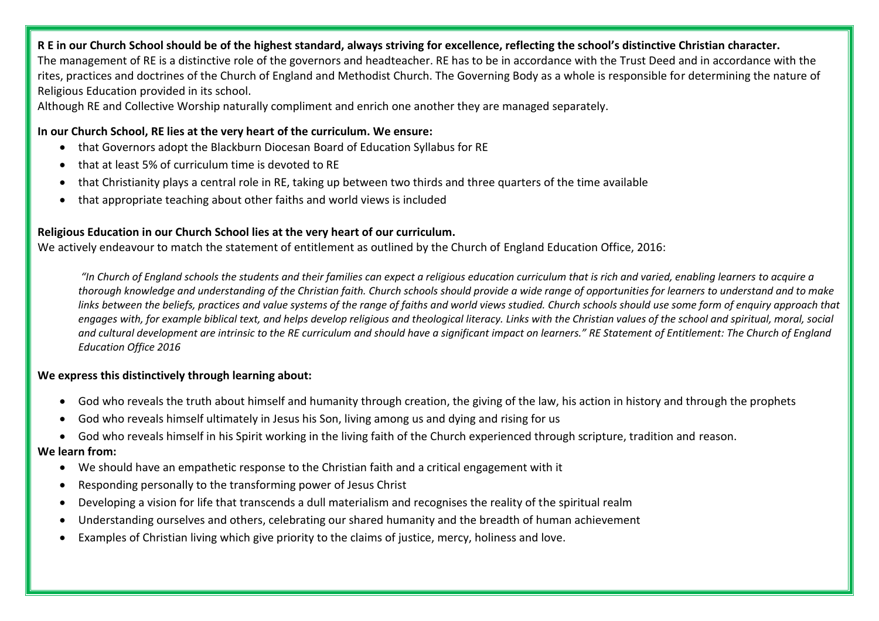#### **R E in our Church School should be of the highest standard, always striving for excellence, reflecting the school's distinctive Christian character.**

The management of RE is a distinctive role of the governors and headteacher. RE has to be in accordance with the Trust Deed and in accordance with the rites, practices and doctrines of the Church of England and Methodist Church. The Governing Body as a whole is responsible for determining the nature of Religious Education provided in its school.

Although RE and Collective Worship naturally compliment and enrich one another they are managed separately.

#### **In our Church School, RE lies at the very heart of the curriculum. We ensure:**

- that Governors adopt the Blackburn Diocesan Board of Education Syllabus for RE
- that at least 5% of curriculum time is devoted to RE
- that Christianity plays a central role in RE, taking up between two thirds and three quarters of the time available
- that appropriate teaching about other faiths and world views is included

#### **Religious Education in our Church School lies at the very heart of our curriculum.**

We actively endeavour to match the statement of entitlement as outlined by the Church of England Education Office, 2016:

*"In Church of England schools the students and their families can expect a religious education curriculum that is rich and varied, enabling learners to acquire a thorough knowledge and understanding of the Christian faith. Church schools should provide a wide range of opportunities for learners to understand and to make*  links between the beliefs, practices and value systems of the range of faiths and world views studied. Church schools should use some form of enquiry approach that *engages with, for example biblical text, and helps develop religious and theological literacy. Links with the Christian values of the school and spiritual, moral, social and cultural development are intrinsic to the RE curriculum and should have a significant impact on learners." RE Statement of Entitlement: The Church of England Education Office 2016*

#### **We express this distinctively through learning about:**

- God who reveals the truth about himself and humanity through creation, the giving of the law, his action in history and through the prophets
- God who reveals himself ultimately in Jesus his Son, living among us and dying and rising for us
- God who reveals himself in his Spirit working in the living faith of the Church experienced through scripture, tradition and reason.

#### **We learn from:**

- We should have an empathetic response to the Christian faith and a critical engagement with it
- Responding personally to the transforming power of Jesus Christ
- Developing a vision for life that transcends a dull materialism and recognises the reality of the spiritual realm
- Understanding ourselves and others, celebrating our shared humanity and the breadth of human achievement
- Examples of Christian living which give priority to the claims of justice, mercy, holiness and love.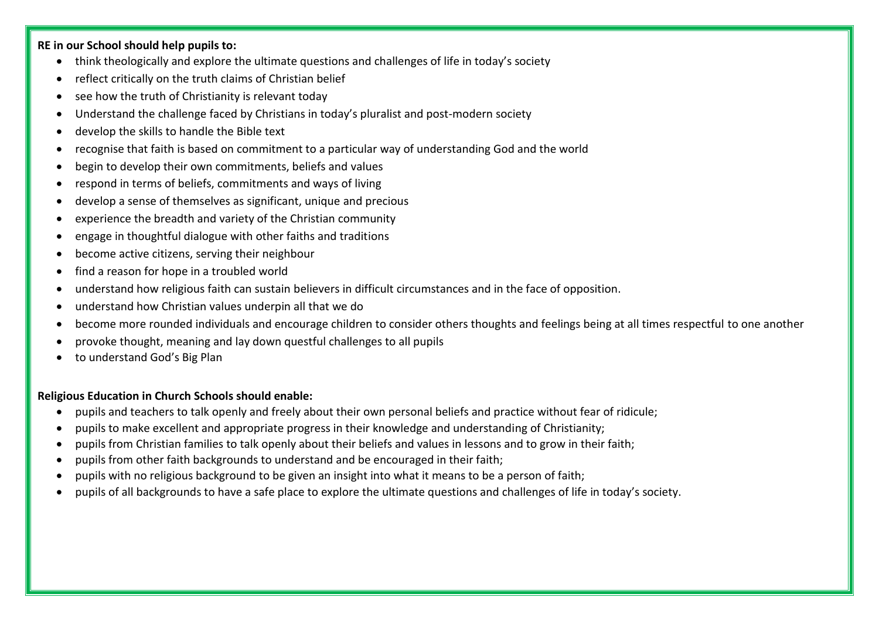#### **RE in our School should help pupils to:**

- think theologically and explore the ultimate questions and challenges of life in today's society
- reflect critically on the truth claims of Christian belief
- see how the truth of Christianity is relevant today
- Understand the challenge faced by Christians in today's pluralist and post-modern society
- develop the skills to handle the Bible text
- recognise that faith is based on commitment to a particular way of understanding God and the world
- begin to develop their own commitments, beliefs and values
- respond in terms of beliefs, commitments and ways of living
- develop a sense of themselves as significant, unique and precious
- experience the breadth and variety of the Christian community
- engage in thoughtful dialogue with other faiths and traditions
- become active citizens, serving their neighbour
- find a reason for hope in a troubled world
- understand how religious faith can sustain believers in difficult circumstances and in the face of opposition.
- understand how Christian values underpin all that we do
- become more rounded individuals and encourage children to consider others thoughts and feelings being at all times respectful to one another
- provoke thought, meaning and lay down questful challenges to all pupils
- to understand God's Big Plan

#### **Religious Education in Church Schools should enable:**

- pupils and teachers to talk openly and freely about their own personal beliefs and practice without fear of ridicule;
- pupils to make excellent and appropriate progress in their knowledge and understanding of Christianity;
- pupils from Christian families to talk openly about their beliefs and values in lessons and to grow in their faith;
- pupils from other faith backgrounds to understand and be encouraged in their faith;
- pupils with no religious background to be given an insight into what it means to be a person of faith;
- pupils of all backgrounds to have a safe place to explore the ultimate questions and challenges of life in today's society.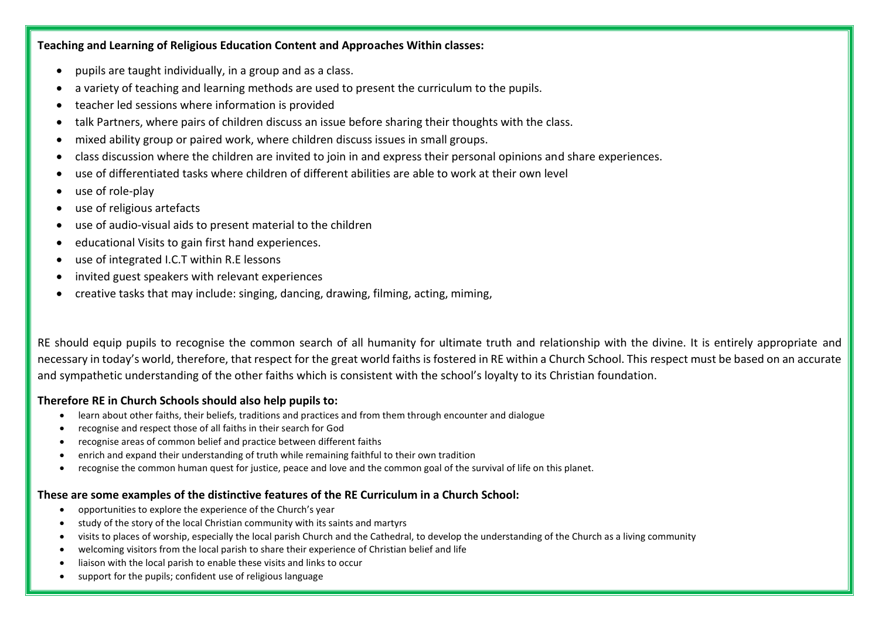**Teaching and Learning of Religious Education Content and Approaches Within classes:**

- pupils are taught individually, in a group and as a class.
- a variety of teaching and learning methods are used to present the curriculum to the pupils.
- teacher led sessions where information is provided
- talk Partners, where pairs of children discuss an issue before sharing their thoughts with the class.
- mixed ability group or paired work, where children discuss issues in small groups.
- class discussion where the children are invited to join in and express their personal opinions and share experiences.
- use of differentiated tasks where children of different abilities are able to work at their own level
- use of role-play
- use of religious artefacts
- use of audio-visual aids to present material to the children
- educational Visits to gain first hand experiences.
- use of integrated I.C.T within R.E lessons
- invited guest speakers with relevant experiences
- creative tasks that may include: singing, dancing, drawing, filming, acting, miming,

RE should equip pupils to recognise the common search of all humanity for ultimate truth and relationship with the divine. It is entirely appropriate and necessary in today's world, therefore, that respect for the great world faiths is fostered in RE within a Church School. This respect must be based on an accurate and sympathetic understanding of the other faiths which is consistent with the school's loyalty to its Christian foundation.

#### **Therefore RE in Church Schools should also help pupils to:**

- learn about other faiths, their beliefs, traditions and practices and from them through encounter and dialogue
- recognise and respect those of all faiths in their search for God
- recognise areas of common belief and practice between different faiths
- enrich and expand their understanding of truth while remaining faithful to their own tradition
- recognise the common human quest for justice, peace and love and the common goal of the survival of life on this planet.

#### **These are some examples of the distinctive features of the RE Curriculum in a Church School:**

- opportunities to explore the experience of the Church's year
- study of the story of the local Christian community with its saints and martyrs
- visits to places of worship, especially the local parish Church and the Cathedral, to develop the understanding of the Church as a living community
- welcoming visitors from the local parish to share their experience of Christian belief and life
- liaison with the local parish to enable these visits and links to occur
- support for the pupils; confident use of religious language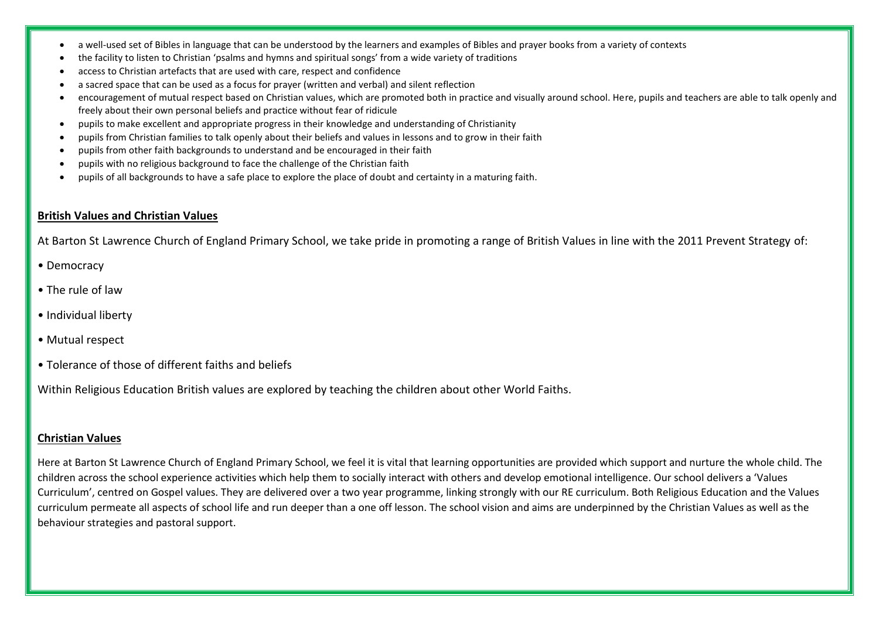- a well-used set of Bibles in language that can be understood by the learners and examples of Bibles and prayer books from a variety of contexts
- the facility to listen to Christian 'psalms and hymns and spiritual songs' from a wide variety of traditions
- access to Christian artefacts that are used with care, respect and confidence
- a sacred space that can be used as a focus for prayer (written and verbal) and silent reflection
- encouragement of mutual respect based on Christian values, which are promoted both in practice and visually around school. Here, pupils and teachers are able to talk openly and freely about their own personal beliefs and practice without fear of ridicule
- pupils to make excellent and appropriate progress in their knowledge and understanding of Christianity
- pupils from Christian families to talk openly about their beliefs and values in lessons and to grow in their faith
- pupils from other faith backgrounds to understand and be encouraged in their faith
- pupils with no religious background to face the challenge of the Christian faith
- pupils of all backgrounds to have a safe place to explore the place of doubt and certainty in a maturing faith.

#### **British Values and Christian Values**

At Barton St Lawrence Church of England Primary School, we take pride in promoting a range of British Values in line with the 2011 Prevent Strategy of:

- Democracy
- The rule of law
- Individual liberty
- Mutual respect
- Tolerance of those of different faiths and beliefs

Within Religious Education British values are explored by teaching the children about other World Faiths.

#### **Christian Values**

Here at Barton St Lawrence Church of England Primary School, we feel it is vital that learning opportunities are provided which support and nurture the whole child. The children across the school experience activities which help them to socially interact with others and develop emotional intelligence. Our school delivers a 'Values Curriculum', centred on Gospel values. They are delivered over a two year programme, linking strongly with our RE curriculum. Both Religious Education and the Values curriculum permeate all aspects of school life and run deeper than a one off lesson. The school vision and aims are underpinned by the Christian Values as well as the behaviour strategies and pastoral support.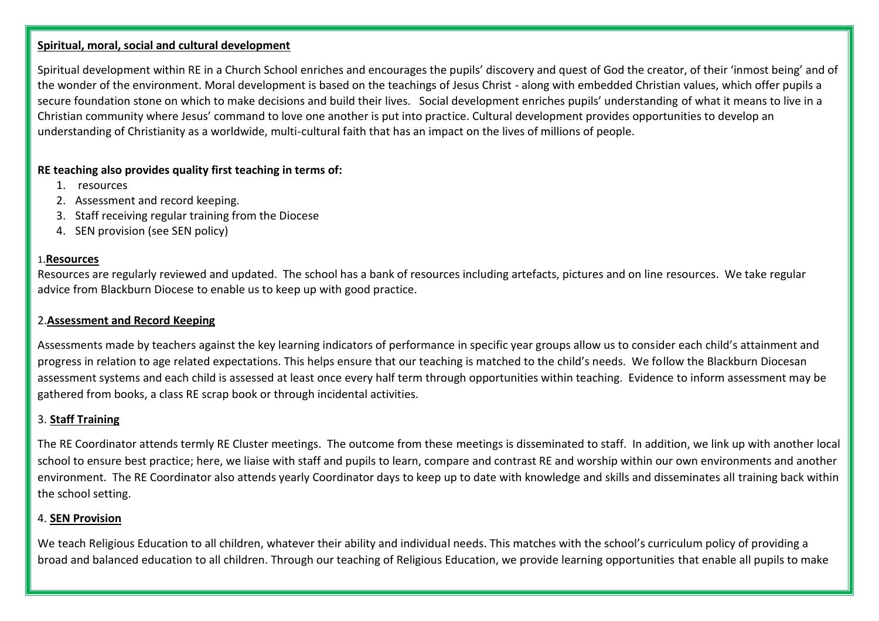#### **Spiritual, moral, social and cultural development**

Spiritual development within RE in a Church School enriches and encourages the pupils' discovery and quest of God the creator, of their 'inmost being' and of the wonder of the environment. Moral development is based on the teachings of Jesus Christ - along with embedded Christian values, which offer pupils a secure foundation stone on which to make decisions and build their lives. Social development enriches pupils' understanding of what it means to live in a Christian community where Jesus' command to love one another is put into practice. Cultural development provides opportunities to develop an understanding of Christianity as a worldwide, multi-cultural faith that has an impact on the lives of millions of people.

#### **RE teaching also provides quality first teaching in terms of:**

- 1. resources
- 2. Assessment and record keeping.
- 3. Staff receiving regular training from the Diocese
- 4. SEN provision (see SEN policy)

#### 1.**Resources**

Resources are regularly reviewed and updated. The school has a bank of resources including artefacts, pictures and on line resources. We take regular advice from Blackburn Diocese to enable us to keep up with good practice.

#### 2.**Assessment and Record Keeping**

Assessments made by teachers against the key learning indicators of performance in specific year groups allow us to consider each child's attainment and progress in relation to age related expectations. This helps ensure that our teaching is matched to the child's needs. We follow the Blackburn Diocesan assessment systems and each child is assessed at least once every half term through opportunities within teaching. Evidence to inform assessment may be gathered from books, a class RE scrap book or through incidental activities.

#### 3. **Staff Training**

The RE Coordinator attends termly RE Cluster meetings. The outcome from these meetings is disseminated to staff. In addition, we link up with another local school to ensure best practice; here, we liaise with staff and pupils to learn, compare and contrast RE and worship within our own environments and another environment. The RE Coordinator also attends yearly Coordinator days to keep up to date with knowledge and skills and disseminates all training back within the school setting.

#### 4. **SEN Provision**

We teach Religious Education to all children, whatever their ability and individual needs. This matches with the school's curriculum policy of providing a broad and balanced education to all children. Through our teaching of Religious Education, we provide learning opportunities that enable all pupils to make